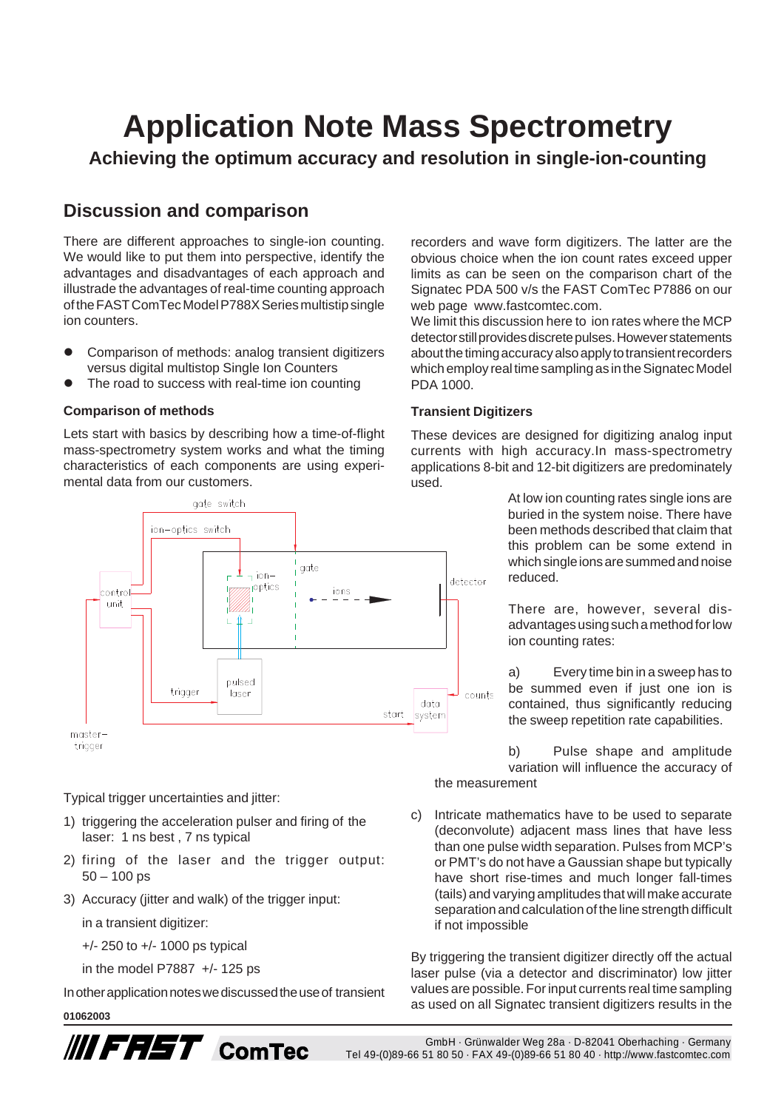# **Application Note Mass Spectrometry**

**Achieving the optimum accuracy and resolution in single-ion-counting**

## **Discussion and comparison**

There are different approaches to single-ion counting. We would like to put them into perspective, identify the advantages and disadvantages of each approach and illustrade the advantages of real-time counting approach of the FAST ComTec Model P788X Series multistip single ion counters.

- ! Comparison of methods: analog transient digitizers versus digital multistop Single Ion Counters
- The road to success with real-time ion counting

#### **Comparison of methods**

Lets start with basics by describing how a time-of-flight mass-spectrometry system works and what the timing characteristics of each components are using experimental data from our customers.



Typical trigger uncertainties and jitter:

- 1) triggering the acceleration pulser and firing of the laser: 1 ns best , 7 ns typical
- 2) firing of the laser and the trigger output:  $50 - 100$  ps
- 3) Accuracy (jitter and walk) of the trigger input:

in a transient digitizer:

- +/- 250 to +/- 1000 ps typical
- in the model P7887 +/- 125 ps

In other application notes we discussed the use of transient

#### **01062003**



recorders and wave form digitizers. The latter are the obvious choice when the ion count rates exceed upper limits as can be seen on the comparison chart of the Signatec PDA 500 v/s the FAST ComTec P7886 on our web page www.fastcomtec.com.

We limit this discussion here to ion rates where the MCP detector still provides discrete pulses. However statements about the timing accuracy also apply to transient recorders which employ real time sampling as in the Signatec Model PDA 1000.

#### **Transient Digitizers**

These devices are designed for digitizing analog input currents with high accuracy.In mass-spectrometry applications 8-bit and 12-bit digitizers are predominately used.

> At low ion counting rates single ions are buried in the system noise. There have been methods described that claim that this problem can be some extend in which single ions are summed and noise reduced.

> There are, however, several disadvantages using such a method for low ion counting rates:

> a) Every time bin in a sweep has to be summed even if just one ion is contained, thus significantly reducing the sweep repetition rate capabilities.

b) Pulse shape and amplitude variation will influence the accuracy of the measurement

c) Intricate mathematics have to be used to separate (deconvolute) adjacent mass lines that have less than one pulse width separation. Pulses from MCP's or PMT's do not have a Gaussian shape but typically have short rise-times and much longer fall-times (tails) and varying amplitudes that will make accurate separation and calculation of the line strength difficult if not impossible

By triggering the transient digitizer directly off the actual laser pulse (via a detector and discriminator) low jitter values are possible. For input currents real time sampling as used on all Signatec transient digitizers results in the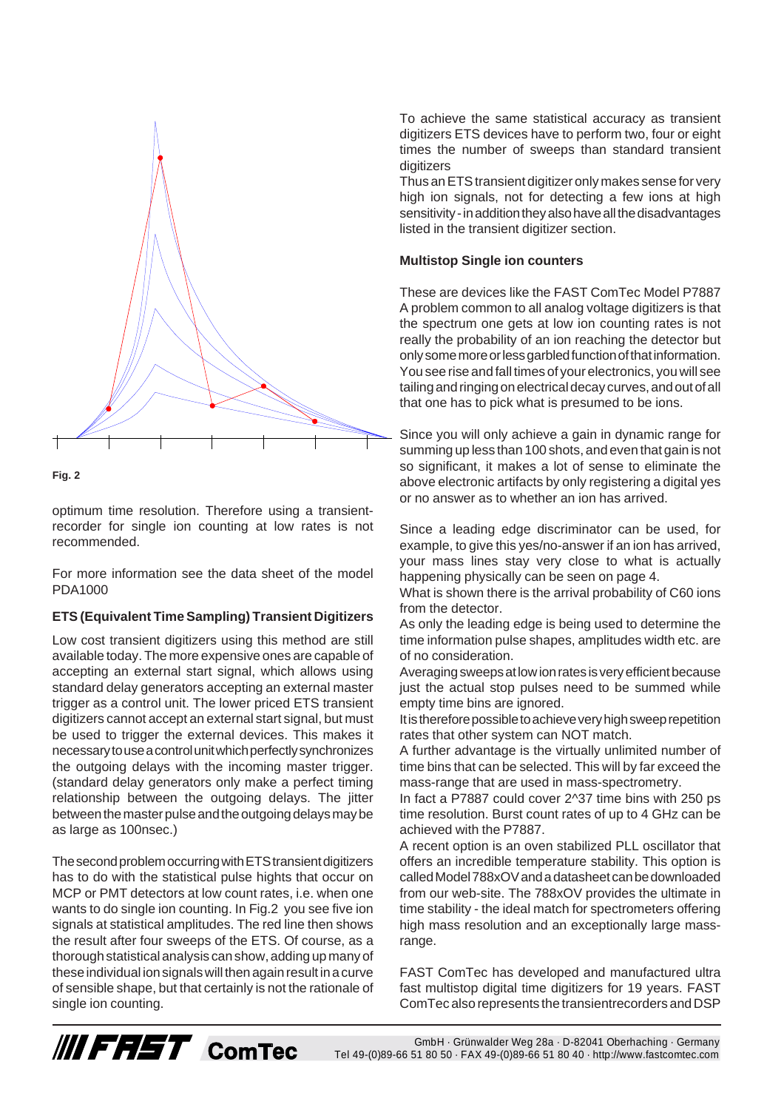



optimum time resolution. Therefore using a transientrecorder for single ion counting at low rates is not recommended.

For more information see the data sheet of the model PDA1000

#### **ETS (Equivalent Time Sampling) Transient Digitizers**

Low cost transient digitizers using this method are still available today. The more expensive ones are capable of accepting an external start signal, which allows using standard delay generators accepting an external master trigger as a control unit. The lower priced ETS transient digitizers cannot accept an external start signal, but must be used to trigger the external devices. This makes it necessary to use a control unit which perfectly synchronizes the outgoing delays with the incoming master trigger. (standard delay generators only make a perfect timing relationship between the outgoing delays. The jitter between the master pulse and the outgoing delays may be as large as 100nsec.)

The second problem occurring with ETS transient digitizers has to do with the statistical pulse hights that occur on MCP or PMT detectors at low count rates, i.e. when one wants to do single ion counting. In Fig.2 you see five ion signals at statistical amplitudes. The red line then shows the result after four sweeps of the ETS. Of course, as a thorough statistical analysis can show, adding up many of these individual ion signals will then again result in a curve of sensible shape, but that certainly is not the rationale of single ion counting.

**/// FRST** ComTec

To achieve the same statistical accuracy as transient digitizers ETS devices have to perform two, four or eight times the number of sweeps than standard transient digitizers

Thus an ETS transient digitizer only makes sense for very high ion signals, not for detecting a few ions at high sensitivity - in addition they also have all the disadvantages listed in the transient digitizer section.

#### **Multistop Single ion counters**

These are devices like the FAST ComTec Model P7887 A problem common to all analog voltage digitizers is that the spectrum one gets at low ion counting rates is not really the probability of an ion reaching the detector but only some more or less garbled function of that information. You see rise and fall times of your electronics, you will see tailing and ringing on electrical decay curves, and out of all that one has to pick what is presumed to be ions.

Since you will only achieve a gain in dynamic range for summing up less than 100 shots, and even that gain is not so significant, it makes a lot of sense to eliminate the above electronic artifacts by only registering a digital yes or no answer as to whether an ion has arrived.

Since a leading edge discriminator can be used, for example, to give this yes/no-answer if an ion has arrived, your mass lines stay very close to what is actually happening physically can be seen on page 4.

What is shown there is the arrival probability of C60 ions from the detector.

As only the leading edge is being used to determine the time information pulse shapes, amplitudes width etc. are of no consideration.

Averaging sweeps at low ion rates is very efficient because just the actual stop pulses need to be summed while empty time bins are ignored.

It is therefore possible to achieve very high sweep repetition rates that other system can NOT match.

A further advantage is the virtually unlimited number of time bins that can be selected. This will by far exceed the mass-range that are used in mass-spectrometry.

In fact a P7887 could cover 2^37 time bins with 250 ps time resolution. Burst count rates of up to 4 GHz can be achieved with the P7887.

A recent option is an oven stabilized PLL oscillator that offers an incredible temperature stability. This option is called Model 788xOV and a datasheet can be downloaded from our web-site. The 788xOV provides the ultimate in time stability - the ideal match for spectrometers offering high mass resolution and an exceptionally large massrange.

FAST ComTec has developed and manufactured ultra fast multistop digital time digitizers for 19 years. FAST ComTec also represents the transientrecorders and DSP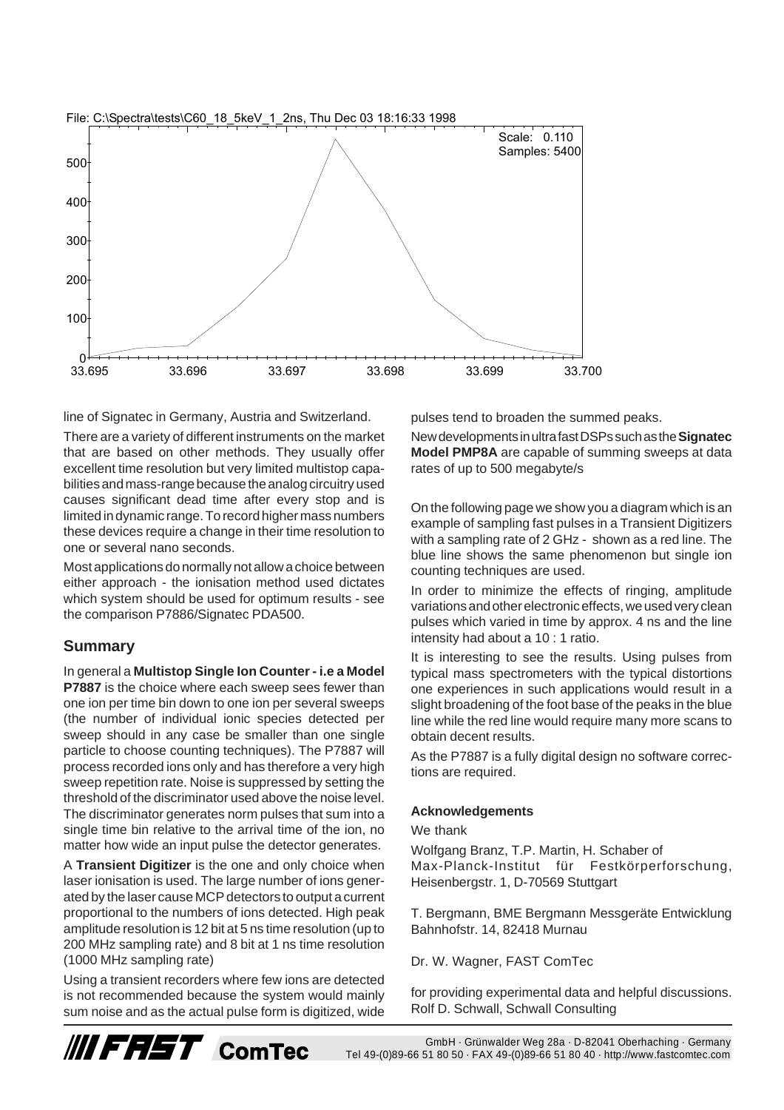

line of Signatec in Germany, Austria and Switzerland.

There are a variety of different instruments on the market that are based on other methods. They usually offer excellent time resolution but very limited multistop capabilities and mass-range because the analog circuitry used causes significant dead time after every stop and is limited in dynamic range. To record higher mass numbers these devices require a change in their time resolution to one or several nano seconds.

Most applications do normally not allow a choice between either approach - the ionisation method used dictates which system should be used for optimum results - see the comparison P7886/Signatec PDA500.

### **Summary**

In general a **Multistop Single Ion Counter - i.e a Model P7887** is the choice where each sweep sees fewer than one ion per time bin down to one ion per several sweeps (the number of individual ionic species detected per sweep should in any case be smaller than one single particle to choose counting techniques). The P7887 will process recorded ions only and has therefore a very high sweep repetition rate. Noise is suppressed by setting the threshold of the discriminator used above the noise level. The discriminator generates norm pulses that sum into a single time bin relative to the arrival time of the ion, no matter how wide an input pulse the detector generates.

A **Transient Digitizer** is the one and only choice when laser ionisation is used. The large number of ions generated by the laser cause MCP detectors to output a current proportional to the numbers of ions detected. High peak amplitude resolution is 12 bit at 5 ns time resolution (up to 200 MHz sampling rate) and 8 bit at 1 ns time resolution (1000 MHz sampling rate)

Using a transient recorders where few ions are detected is not recommended because the system would mainly sum noise and as the actual pulse form is digitized, wide pulses tend to broaden the summed peaks.

New developments in ultra fast DSPs such as the **Signatec Model PMP8A** are capable of summing sweeps at data rates of up to 500 megabyte/s

On the following page we show you a diagram which is an example of sampling fast pulses in a Transient Digitizers with a sampling rate of 2 GHz - shown as a red line. The blue line shows the same phenomenon but single ion counting techniques are used.

In order to minimize the effects of ringing, amplitude variations and other electronic effects, we used very clean pulses which varied in time by approx. 4 ns and the line intensity had about a 10 : 1 ratio.

It is interesting to see the results. Using pulses from typical mass spectrometers with the typical distortions one experiences in such applications would result in a slight broadening of the foot base of the peaks in the blue line while the red line would require many more scans to obtain decent results.

As the P7887 is a fully digital design no software corrections are required.

#### **Acknowledgements**

We thank

Wolfgang Branz, T.P. Martin, H. Schaber of Max-Planck-Institut für Festkörperforschung, Heisenbergstr. 1, D-70569 Stuttgart

T. Bergmann, BME Bergmann Messgeräte Entwicklung Bahnhofstr. 14, 82418 Murnau

Dr. W. Wagner, FAST ComTec

for providing experimental data and helpful discussions. Rolf D. Schwall, Schwall Consulting



GmbH · Grünwalder Weg 28a · D-82041 Oberhaching · Germany Tel 49-(0)89-66 51 80 50 · FAX 49-(0)89-66 51 80 40 · http://www.fastcomtec.com